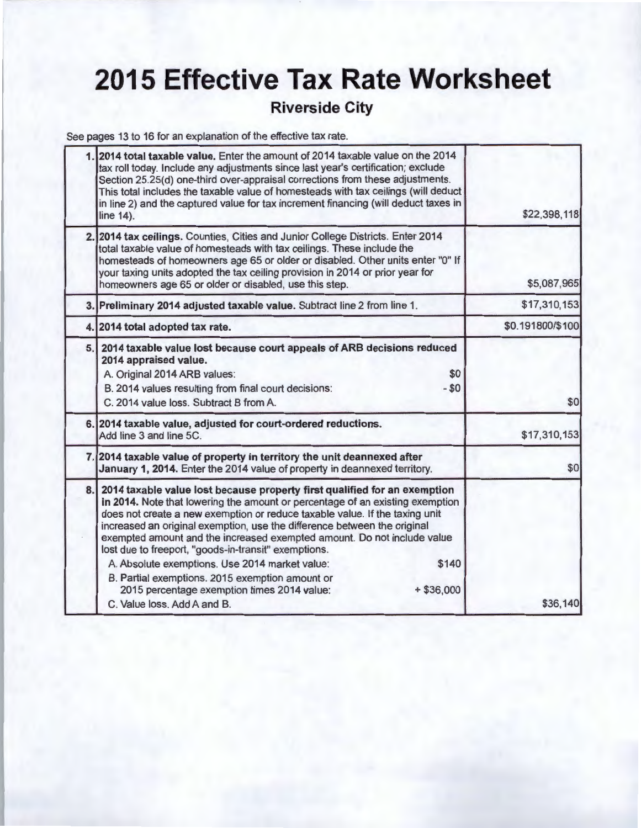## **2015 Effective Tax Rate Worksheet**

### **Riverside City**

See pages 13 to 16 for an explanation of the effective tax rate.

| \$22,398,118     | 1. 2014 total taxable value. Enter the amount of 2014 taxable value on the 2014<br>tax roll today. Include any adjustments since last year's certification; exclude<br>Section 25.25(d) one-third over-appraisal corrections from these adjustments.<br>This total includes the taxable value of homesteads with tax ceilings (will deduct<br>in line 2) and the captured value for tax increment financing (will deduct taxes in                                                                                                                                                                                                       |                                 |
|------------------|-----------------------------------------------------------------------------------------------------------------------------------------------------------------------------------------------------------------------------------------------------------------------------------------------------------------------------------------------------------------------------------------------------------------------------------------------------------------------------------------------------------------------------------------------------------------------------------------------------------------------------------------|---------------------------------|
| \$5,087,965      | 2. 2014 tax ceilings. Counties, Cities and Junior College Districts. Enter 2014<br>total taxable value of homesteads with tax ceilings. These include the<br>homesteads of homeowners age 65 or older or disabled. Other units enter "0" If<br>your taxing units adopted the tax ceiling provision in 2014 or prior year for<br>homeowners age 65 or older or disabled, use this step.                                                                                                                                                                                                                                                  |                                 |
| \$17,310,153     | 3. Preliminary 2014 adjusted taxable value. Subtract line 2 from line 1.                                                                                                                                                                                                                                                                                                                                                                                                                                                                                                                                                                |                                 |
| \$0.191800/\$100 |                                                                                                                                                                                                                                                                                                                                                                                                                                                                                                                                                                                                                                         | 4. 2014 total adopted tax rate. |
| \$0              | 5. 2014 taxable value lost because court appeals of ARB decisions reduced<br>\$0<br>B. 2014 values resulting from final court decisions:<br>$- $0$<br>C. 2014 value loss. Subtract B from A.                                                                                                                                                                                                                                                                                                                                                                                                                                            |                                 |
| \$17,310,153     | 6. 2014 taxable value, adjusted for court-ordered reductions.                                                                                                                                                                                                                                                                                                                                                                                                                                                                                                                                                                           |                                 |
| \$0              | 7. 2014 taxable value of property in territory the unit deannexed after<br>January 1, 2014. Enter the 2014 value of property in deannexed territory.                                                                                                                                                                                                                                                                                                                                                                                                                                                                                    |                                 |
| \$36,140         | 8. 2014 taxable value lost because property first qualified for an exemption<br>in 2014. Note that lowering the amount or percentage of an existing exemption<br>does not create a new exemption or reduce taxable value. If the taxing unit<br>increased an original exemption, use the difference between the original<br>exempted amount and the increased exempted amount. Do not include value<br>lost due to freeport, "goods-in-transit" exemptions.<br>A. Absolute exemptions. Use 2014 market value:<br>\$140<br>B. Partial exemptions. 2015 exemption amount or<br>2015 percentage exemption times 2014 value:<br>$+ $36,000$ |                                 |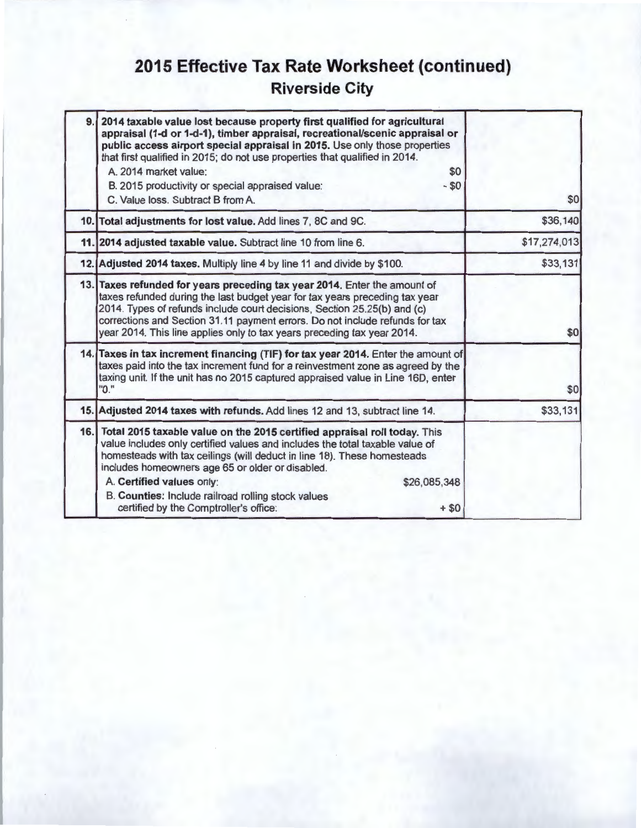## **2015 Effective Tax Rate Worksheet (continued) Riverside City**

| 9. | 2014 taxable value lost because property first qualified for agricultural<br>appraisal (1-d or 1-d-1), timber appraisal, recreational/scenic appraisal or<br>public access airport special appraisal in 2015. Use only those properties<br>that first qualified in 2015; do not use properties that qualified in 2014.<br>A. 2014 market value:<br>\$0<br>B. 2015 productivity or special appraised value:<br>- \$0                                 |              |
|----|-----------------------------------------------------------------------------------------------------------------------------------------------------------------------------------------------------------------------------------------------------------------------------------------------------------------------------------------------------------------------------------------------------------------------------------------------------|--------------|
|    | C. Value loss. Subtract B from A.                                                                                                                                                                                                                                                                                                                                                                                                                   | \$0          |
|    | 10. Total adjustments for lost value. Add lines 7, 8C and 9C.                                                                                                                                                                                                                                                                                                                                                                                       | \$36,140     |
|    | 11. 2014 adjusted taxable value. Subtract line 10 from line 6.                                                                                                                                                                                                                                                                                                                                                                                      | \$17,274,013 |
|    | 12. Adjusted 2014 taxes. Multiply line 4 by line 11 and divide by \$100.                                                                                                                                                                                                                                                                                                                                                                            | \$33,131     |
|    | 13. Taxes refunded for years preceding tax year 2014. Enter the amount of<br>taxes refunded during the last budget year for tax years preceding tax year<br>2014. Types of refunds include court decisions, Section 25.25(b) and (c)<br>corrections and Section 31.11 payment errors. Do not include refunds for tax<br>year 2014. This line applies only to tax years preceding tax year 2014.                                                     | \$0          |
|    | 14. Taxes in tax increment financing (TIF) for tax year 2014. Enter the amount of<br>taxes paid into the tax increment fund for a reinvestment zone as agreed by the<br>taxing unit. If the unit has no 2015 captured appraised value in Line 16D, enter<br>"0."                                                                                                                                                                                    | \$0          |
|    | 15. Adjusted 2014 taxes with refunds. Add lines 12 and 13, subtract line 14.                                                                                                                                                                                                                                                                                                                                                                        | \$33,131     |
|    | 16. Total 2015 taxable value on the 2015 certified appraisal roll today. This<br>value includes only certified values and includes the total taxable value of<br>homesteads with tax ceilings (will deduct in line 18). These homesteads<br>includes homeowners age 65 or older or disabled.<br>A. Certified values only:<br>\$26,085,348<br>B. Counties: Include railroad rolling stock values<br>certified by the Comptroller's office:<br>$+ $0$ |              |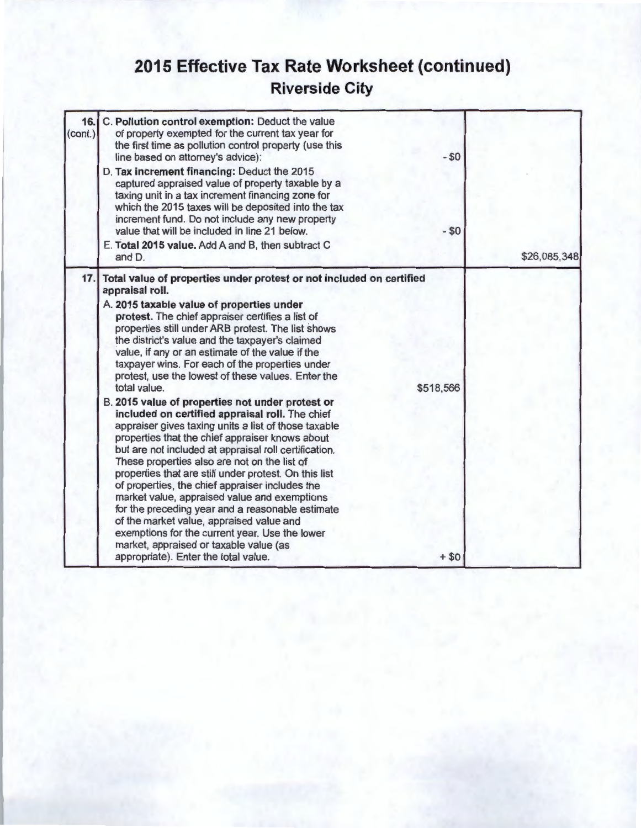## **2015 Effective Tax Rate Worksheet (continued) Riverside City**

| 16.<br>(cont.) | C. Pollution control exemption: Deduct the value<br>of property exempted for the current tax year for<br>the first time as pollution control property (use this<br>line based on attorney's advice):<br>D. Tax increment financing: Deduct the 2015<br>captured appraised value of property taxable by a<br>taxing unit in a tax increment financing zone for<br>which the 2015 taxes will be deposited into the tax<br>increment fund. Do not include any new property<br>value that will be included in line 21 below.<br>E. Total 2015 value. Add A and B, then subtract C                                                                                                                                                           | $- $0$<br>$- $0$    |              |
|----------------|-----------------------------------------------------------------------------------------------------------------------------------------------------------------------------------------------------------------------------------------------------------------------------------------------------------------------------------------------------------------------------------------------------------------------------------------------------------------------------------------------------------------------------------------------------------------------------------------------------------------------------------------------------------------------------------------------------------------------------------------|---------------------|--------------|
| 17.1           | and D.<br>Total value of properties under protest or not included on certified<br>appraisal roll.<br>A. 2015 taxable value of properties under<br>protest. The chief appraiser certifies a list of<br>properties still under ARB protest. The list shows<br>the district's value and the taxpayer's claimed<br>value, if any or an estimate of the value if the<br>taxpayer wins. For each of the properties under<br>protest, use the lowest of these values. Enter the                                                                                                                                                                                                                                                                |                     | \$26,085,348 |
|                | total value.<br>B. 2015 value of properties not under protest or<br>included on certified appraisal roll. The chief<br>appraiser gives taxing units a list of those taxable<br>properties that the chief appraiser knows about<br>but are not included at appraisal roll certification.<br>These properties also are not on the list of<br>properties that are still under protest. On this list<br>of properties, the chief appraiser includes the<br>market value, appraised value and exemptions<br>for the preceding year and a reasonable estimate<br>of the market value, appraised value and<br>exemptions for the current year. Use the lower<br>market, appraised or taxable value (as<br>appropriate). Enter the total value. | \$518,566<br>$+ $0$ |              |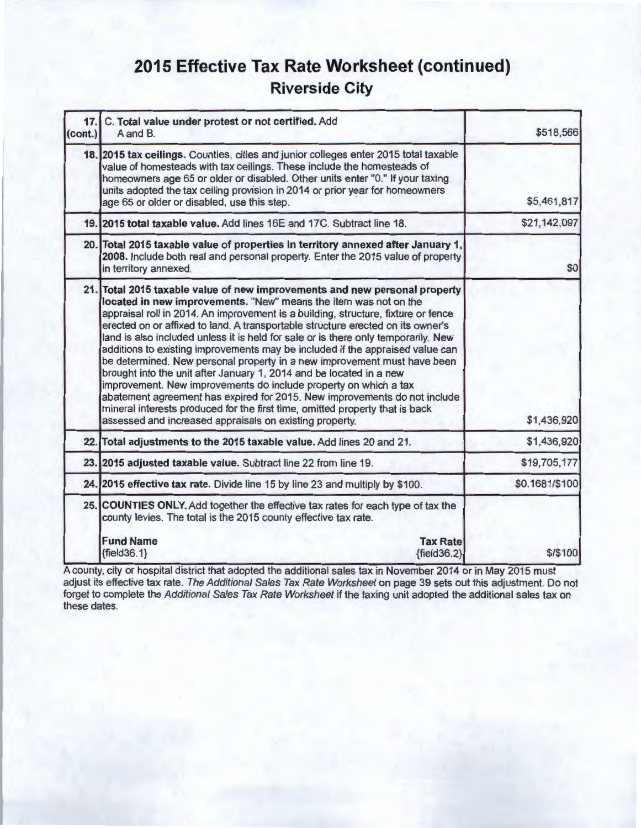## **2015 Effective Tax Rate Worksheet (continued) Riverside City**

| 17.<br>(cont.) | C. Total value under protest or not certified. Add<br>A and B.                                                                                                                                                                                                                                                                                                                                                                                                                                                                                                                                                                                                                                                                                                                                                                                                                                                                               | \$518,566      |
|----------------|----------------------------------------------------------------------------------------------------------------------------------------------------------------------------------------------------------------------------------------------------------------------------------------------------------------------------------------------------------------------------------------------------------------------------------------------------------------------------------------------------------------------------------------------------------------------------------------------------------------------------------------------------------------------------------------------------------------------------------------------------------------------------------------------------------------------------------------------------------------------------------------------------------------------------------------------|----------------|
|                | 18. 2015 tax ceilings. Counties, cities and junior colleges enter 2015 total taxable<br>value of homesteads with tax ceilings. These include the homesteads of<br>homeowners age 65 or older or disabled. Other units enter "0." If your taxing<br>units adopted the tax ceiling provision in 2014 or prior year for homeowners<br>age 65 or older or disabled, use this step.                                                                                                                                                                                                                                                                                                                                                                                                                                                                                                                                                               | \$5,461,817    |
|                | 19. 2015 total taxable value. Add lines 16E and 17C. Subtract line 18.                                                                                                                                                                                                                                                                                                                                                                                                                                                                                                                                                                                                                                                                                                                                                                                                                                                                       | \$21,142,097   |
|                | 20. Total 2015 taxable value of properties in territory annexed after January 1,<br>2008. Include both real and personal property. Enter the 2015 value of property<br>in territory annexed.                                                                                                                                                                                                                                                                                                                                                                                                                                                                                                                                                                                                                                                                                                                                                 | \$0            |
|                | 21. Total 2015 taxable value of new improvements and new personal property<br>located in new improvements. "New" means the item was not on the<br>appraisal roll in 2014. An improvement is a building, structure, fixture or fence<br>erected on or affixed to land. A transportable structure erected on its owner's<br>land is also included unless it is held for sale or is there only temporarily. New<br>additions to existing improvements may be included if the appraised value can<br>be determined. New personal property in a new improvement must have been<br>brought into the unit after January 1, 2014 and be located in a new<br>improvement. New improvements do include property on which a tax<br>abatement agreement has expired for 2015. New improvements do not include<br>mineral interests produced for the first time, omitted property that is back<br>assessed and increased appraisals on existing property. | \$1,436,920    |
|                | 22. Total adjustments to the 2015 taxable value. Add lines 20 and 21.                                                                                                                                                                                                                                                                                                                                                                                                                                                                                                                                                                                                                                                                                                                                                                                                                                                                        | \$1,436,920    |
|                | 23. 2015 adjusted taxable value. Subtract line 22 from line 19.                                                                                                                                                                                                                                                                                                                                                                                                                                                                                                                                                                                                                                                                                                                                                                                                                                                                              | \$19,705,177   |
|                | 24. 2015 effective tax rate. Divide line 15 by line 23 and multiply by \$100.                                                                                                                                                                                                                                                                                                                                                                                                                                                                                                                                                                                                                                                                                                                                                                                                                                                                | \$0.1681/\$100 |
|                | 25. COUNTIES ONLY. Add together the effective tax rates for each type of tax the<br>county levies. The total is the 2015 county effective tax rate.                                                                                                                                                                                                                                                                                                                                                                                                                                                                                                                                                                                                                                                                                                                                                                                          |                |
|                | <b>Fund Name</b><br><b>Tax Rate</b><br>${fields.1}$<br>${fields2}$                                                                                                                                                                                                                                                                                                                                                                                                                                                                                                                                                                                                                                                                                                                                                                                                                                                                           | \$/\$100       |

A county, city or hospital district that adopted the additional sales tax in November 2014 or in May 2015 must adjust its effective tax rate. The Additional Sales Tax Rate Worksheet on page 39 sets out this adjustment. Do not forget to complete the Additional Sales Tax Rate Worksheet if the taxing unit adopted the additional sales tax on these dates.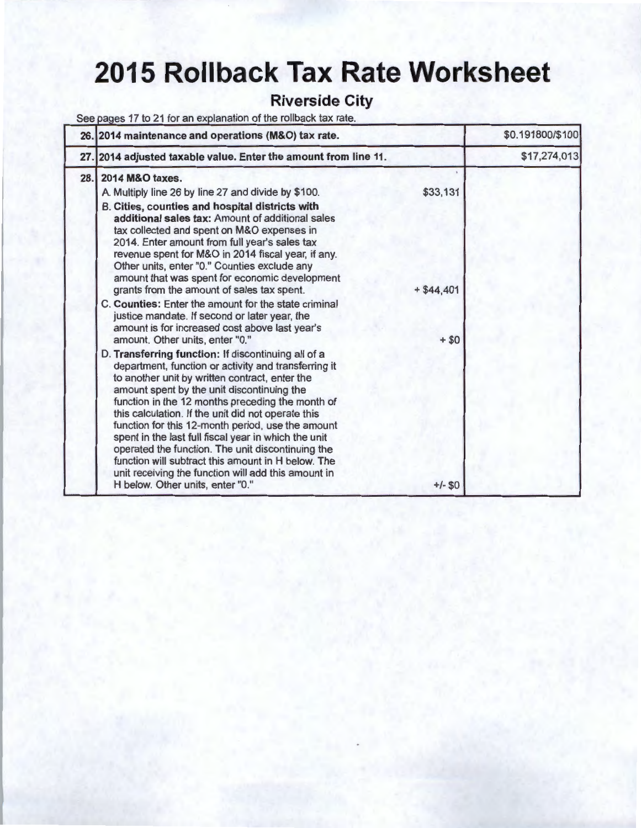# **2015 Rollback Tax Rate Worksheet**

### **Riverside City**

See pages 17 to 21 for an explanation of the rollback tax rate.

| 26. 2014 maintenance and operations (M&O) tax rate.                                                                                                                                                                                                                                                                                                                                                                                                                                                                                                                                                                                      |                       | \$0.191800/\$100 |
|------------------------------------------------------------------------------------------------------------------------------------------------------------------------------------------------------------------------------------------------------------------------------------------------------------------------------------------------------------------------------------------------------------------------------------------------------------------------------------------------------------------------------------------------------------------------------------------------------------------------------------------|-----------------------|------------------|
| 27. 2014 adjusted taxable value. Enter the amount from line 11.                                                                                                                                                                                                                                                                                                                                                                                                                                                                                                                                                                          |                       | \$17,274,013     |
| 28. 2014 M&O taxes.<br>A. Multiply line 26 by line 27 and divide by \$100.<br>B. Cities, counties and hospital districts with<br>additional sales tax: Amount of additional sales<br>tax collected and spent on M&O expenses in<br>2014. Enter amount from full year's sales tax<br>revenue spent for M&O in 2014 fiscal year, if any.<br>Other units, enter "0." Counties exclude any<br>amount that was spent for economic development                                                                                                                                                                                                 | \$33,131              |                  |
| grants from the amount of sales tax spent.<br>C. Counties: Enter the amount for the state criminal<br>justice mandate. If second or later year, the<br>amount is for increased cost above last year's<br>amount. Other units, enter "0."                                                                                                                                                                                                                                                                                                                                                                                                 | $+ $44,401$<br>$+ $0$ |                  |
| D. Transferring function: If discontinuing all of a<br>department, function or activity and transferring it<br>to another unit by written contract, enter the<br>amount spent by the unit discontinuing the<br>function in the 12 months preceding the month of<br>this calculation. If the unit did not operate this<br>function for this 12-month period, use the amount<br>spent in the last full fiscal year in which the unit<br>operated the function. The unit discontinuing the<br>function will subtract this amount in H below. The<br>unit receiving the function will add this amount in<br>H below. Other units, enter "0." | $+/-$ \$0             |                  |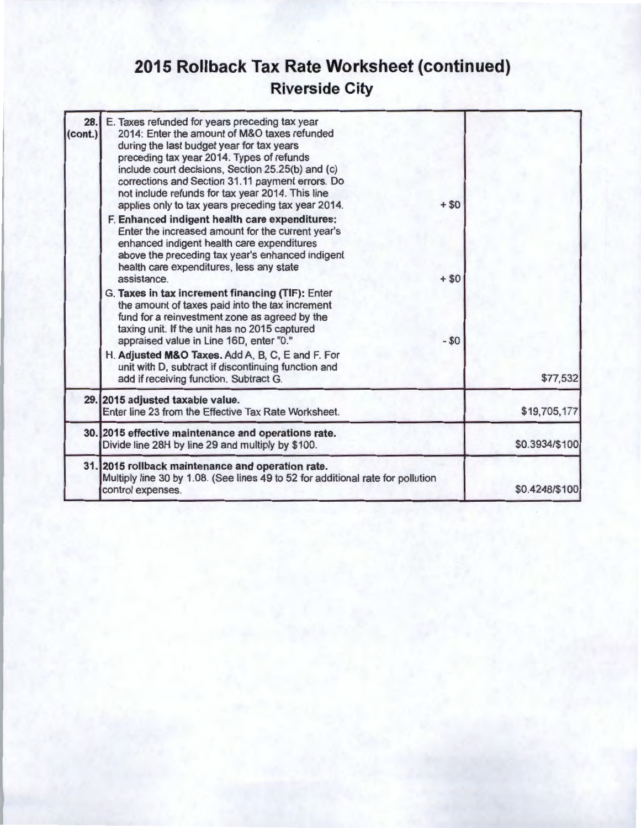## **2015 Rollback Tax Rate Worksheet (continued) Riverside City**

| 28.<br>(cont.) | E. Taxes refunded for years preceding tax year<br>2014: Enter the amount of M&O taxes refunded<br>during the last budget year for tax years<br>preceding tax year 2014. Types of refunds<br>include court decisions, Section 25.25(b) and (c)<br>corrections and Section 31.11 payment errors. Do<br>not include refunds for tax year 2014. This line<br>applies only to tax years preceding tax year 2014.<br>F. Enhanced indigent health care expenditures:<br>Enter the increased amount for the current year's<br>enhanced indigent health care expenditures<br>above the preceding tax year's enhanced indigent<br>health care expenditures, less any state<br>assistance.<br>G. Taxes in tax increment financing (TIF): Enter<br>the amount of taxes paid into the tax increment<br>fund for a reinvestment zone as agreed by the<br>taxing unit. If the unit has no 2015 captured<br>appraised value in Line 16D, enter "0." | $+ $0$<br>$+ $0$<br>$- $0$ |                |
|----------------|-------------------------------------------------------------------------------------------------------------------------------------------------------------------------------------------------------------------------------------------------------------------------------------------------------------------------------------------------------------------------------------------------------------------------------------------------------------------------------------------------------------------------------------------------------------------------------------------------------------------------------------------------------------------------------------------------------------------------------------------------------------------------------------------------------------------------------------------------------------------------------------------------------------------------------------|----------------------------|----------------|
|                | H. Adjusted M&O Taxes. Add A, B, C, E and F. For<br>unit with D, subtract if discontinuing function and<br>add if receiving function. Subtract G.                                                                                                                                                                                                                                                                                                                                                                                                                                                                                                                                                                                                                                                                                                                                                                                   |                            | \$77,532       |
|                | 29. 2015 adjusted taxable value.<br>Enter line 23 from the Effective Tax Rate Worksheet.                                                                                                                                                                                                                                                                                                                                                                                                                                                                                                                                                                                                                                                                                                                                                                                                                                            |                            | \$19,705,177   |
|                | 30. 2015 effective maintenance and operations rate.<br>Divide line 28H by line 29 and multiply by \$100.                                                                                                                                                                                                                                                                                                                                                                                                                                                                                                                                                                                                                                                                                                                                                                                                                            |                            | \$0.3934/\$100 |
|                | 31. 2015 rollback maintenance and operation rate.<br>Multiply line 30 by 1.08. (See lines 49 to 52 for additional rate for pollution<br>control expenses.                                                                                                                                                                                                                                                                                                                                                                                                                                                                                                                                                                                                                                                                                                                                                                           |                            | \$0.4248/\$100 |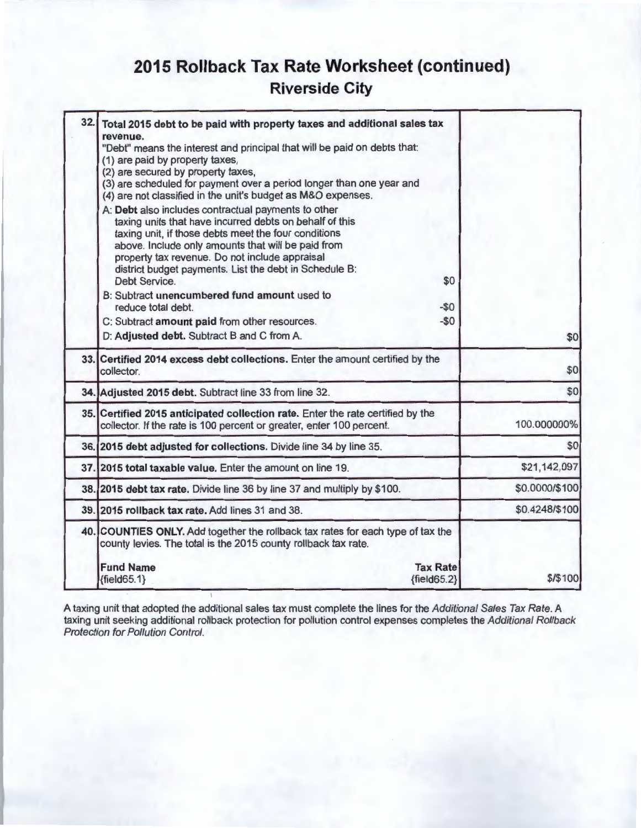## **2015 Rollback Tax Rate Worksheet (continued) Riverside City**

| 32. | Total 2015 debt to be paid with property taxes and additional sales tax                                                                                                                                                                                                                                                                                          |                |
|-----|------------------------------------------------------------------------------------------------------------------------------------------------------------------------------------------------------------------------------------------------------------------------------------------------------------------------------------------------------------------|----------------|
|     | revenue.<br>"Debt" means the interest and principal that will be paid on debts that:                                                                                                                                                                                                                                                                             |                |
|     | (1) are paid by property taxes,                                                                                                                                                                                                                                                                                                                                  |                |
|     | (2) are secured by property taxes,                                                                                                                                                                                                                                                                                                                               |                |
|     | (3) are scheduled for payment over a period longer than one year and<br>(4) are not classified in the unit's budget as M&O expenses.                                                                                                                                                                                                                             |                |
|     | A: Debt also includes contractual payments to other<br>taxing units that have incurred debts on behalf of this<br>taxing unit, if those debts meet the four conditions<br>above. Include only amounts that will be paid from<br>property tax revenue. Do not include appraisal<br>district budget payments. List the debt in Schedule B:<br>Debt Service.<br>\$0 |                |
|     | B: Subtract unencumbered fund amount used to                                                                                                                                                                                                                                                                                                                     |                |
|     | reduce total debt.<br>$-$0$                                                                                                                                                                                                                                                                                                                                      |                |
|     | $-50$<br>C: Subtract amount paid from other resources.                                                                                                                                                                                                                                                                                                           |                |
|     | D: Adjusted debt. Subtract B and C from A.                                                                                                                                                                                                                                                                                                                       | \$0            |
|     | 33. Certified 2014 excess debt collections. Enter the amount certified by the<br>collector.                                                                                                                                                                                                                                                                      | \$0            |
|     | 34. Adjusted 2015 debt. Subtract line 33 from line 32.                                                                                                                                                                                                                                                                                                           | \$0            |
|     | 35. Certified 2015 anticipated collection rate. Enter the rate certified by the<br>collector. If the rate is 100 percent or greater, enter 100 percent.                                                                                                                                                                                                          | 100.000000%    |
|     | 36. 2015 debt adjusted for collections. Divide line 34 by line 35.                                                                                                                                                                                                                                                                                               | \$0            |
|     | 37. 2015 total taxable value. Enter the amount on line 19.                                                                                                                                                                                                                                                                                                       | \$21,142,097   |
|     | 38. 2015 debt tax rate. Divide line 36 by line 37 and multiply by \$100.                                                                                                                                                                                                                                                                                         | \$0.0000/\$100 |
|     | 39. 2015 rollback tax rate. Add lines 31 and 38.                                                                                                                                                                                                                                                                                                                 | \$0.4248/\$100 |
|     | 40. COUNTIES ONLY. Add together the rollback tax rates for each type of tax the<br>county levies. The total is the 2015 county rollback tax rate.                                                                                                                                                                                                                |                |
|     | <b>Fund Name</b><br><b>Tax Rate</b>                                                                                                                                                                                                                                                                                                                              |                |
|     | $\{field65.2\}$<br>${fields 5.1}$                                                                                                                                                                                                                                                                                                                                | \$/\$100       |

A taxing unit that adopted the additional sales tax must complete the lines for the *Additional Sales Tax Rate.* A taxing unit seeking additional rollback protection for pollution control expenses completes the Additional Rollback Protection for Pollution Control.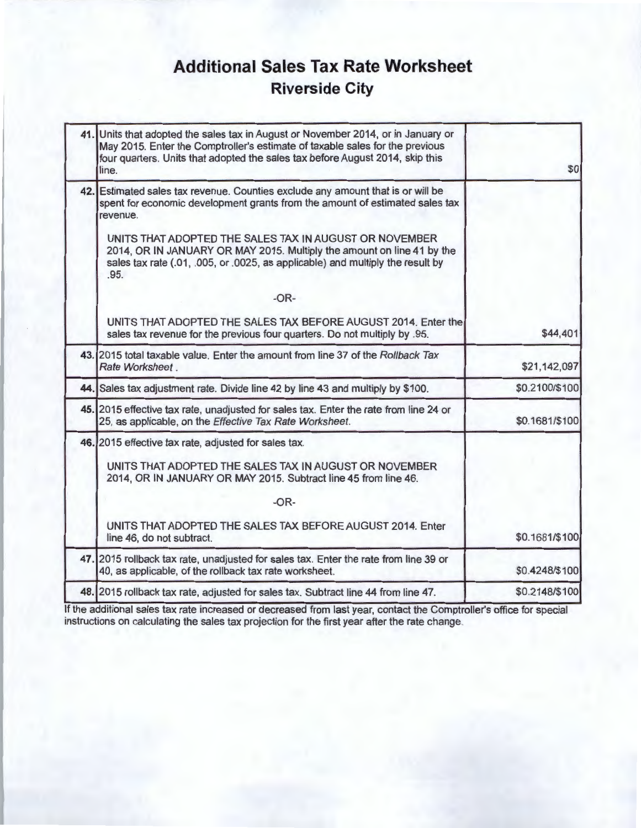## **Additional Sales Tax Rate Worksheet Riverside City**

| 41. Units that adopted the sales tax in August or November 2014, or in January or<br>May 2015. Enter the Comptroller's estimate of taxable sales for the previous<br>four quarters. Units that adopted the sales tax before August 2014, skip this<br>line. |
|-------------------------------------------------------------------------------------------------------------------------------------------------------------------------------------------------------------------------------------------------------------|
| 42. Estimated sales tax revenue. Counties exclude any amount that is or will be<br>spent for economic development grants from the amount of estimated sales tax<br>revenue.                                                                                 |
| UNITS THAT ADOPTED THE SALES TAX IN AUGUST OR NOVEMBER<br>2014, OR IN JANUARY OR MAY 2015. Multiply the amount on line 41 by the<br>sales tax rate (.01, .005, or .0025, as applicable) and multiply the result by<br>.95.                                  |
| $-OR-$                                                                                                                                                                                                                                                      |
| UNITS THAT ADOPTED THE SALES TAX BEFORE AUGUST 2014. Enter the<br>sales tax revenue for the previous four quarters. Do not multiply by .95.                                                                                                                 |
| 43. 2015 total taxable value. Enter the amount from line 37 of the Rollback Tax<br>Rate Worksheet.                                                                                                                                                          |
| 44. Sales tax adjustment rate. Divide line 42 by line 43 and multiply by \$100.                                                                                                                                                                             |
| 45. 2015 effective tax rate, unadjusted for sales tax. Enter the rate from line 24 or<br>25, as applicable, on the Effective Tax Rate Worksheet.                                                                                                            |
| 46. 2015 effective tax rate, adjusted for sales tax.                                                                                                                                                                                                        |
| UNITS THAT ADOPTED THE SALES TAX IN AUGUST OR NOVEMBER<br>2014, OR IN JANUARY OR MAY 2015. Subtract line 45 from line 46.                                                                                                                                   |
| $-OR-$                                                                                                                                                                                                                                                      |
| UNITS THAT ADOPTED THE SALES TAX BEFORE AUGUST 2014. Enter<br>line 46, do not subtract.                                                                                                                                                                     |
| 47. 2015 rollback tax rate, unadjusted for sales tax. Enter the rate from line 39 or<br>40, as applicable, of the rollback tax rate worksheet.                                                                                                              |
| 48. 2015 rollback tax rate, adjusted for sales tax. Subtract line 44 from line 47.                                                                                                                                                                          |
|                                                                                                                                                                                                                                                             |

If the additional sales tax rate increased or decreased from last year, contact the Comptroller's office for special instructions on calculating the sales tax projection for the first year after the rate change.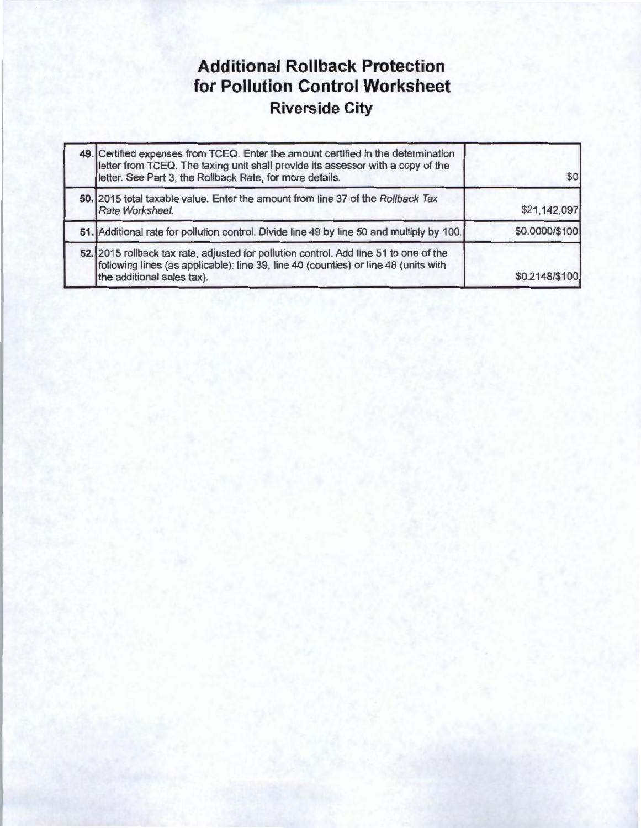## **Additional Rollback Protection for Pollution Control Worksheet Riverside City**

| 49. Certified expenses from TCEQ. Enter the amount certified in the determination<br>letter from TCEQ. The taxing unit shall provide its assessor with a copy of the<br>letter. See Part 3, the Rollback Rate, for more details. |                |
|----------------------------------------------------------------------------------------------------------------------------------------------------------------------------------------------------------------------------------|----------------|
| 50. 2015 total taxable value. Enter the amount from line 37 of the Rollback Tax<br>Rate Worksheet.                                                                                                                               | \$21,142,097   |
| 51. Additional rate for pollution control. Divide line 49 by line 50 and multiply by 100.                                                                                                                                        | \$0.0000/\$100 |
| 52. 2015 rollback tax rate, adjusted for pollution control. Add line 51 to one of the<br>following lines (as applicable): line 39, line 40 (counties) or line 48 (units with<br>the additional sales tax).                       | \$0.2148/\$100 |